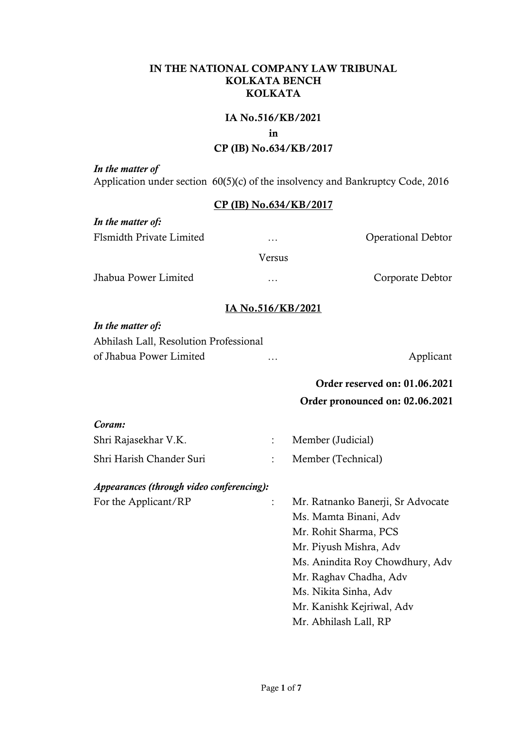# IN THE NATIONAL COMPANY LAW TRIBUNAL KOLKATA BENCH KOLKATA

### IA No.516/KB/2021

#### in

# CP (IB) No.634/KB/2017

*In the matter of* Application under section 60(5)(c) of the insolvency and Bankruptcy Code, 2016

# CP (IB) No.634/KB/2017

*In the matter of:* Flsmidth Private Limited … Operational Debtor Versus Jhabua Power Limited … Corporate Debtor

# IA No.516/KB/2021

### *In the matter of:*

| Abhilash Lall, Resolution Professional |          |           |
|----------------------------------------|----------|-----------|
| of Jhabua Power Limited                | $\cdots$ | Applicant |

# Order reserved on: 01.06.2021 Order pronounced on: 02.06.2021

| Coram:                                    |                    |  |
|-------------------------------------------|--------------------|--|
| Shri Rajasekhar V.K.                      | Member (Judicial)  |  |
| Shri Harish Chander Suri                  | Member (Technical) |  |
| Appearances (through video conferencing): |                    |  |

For the Applicant/RP : Mr. Ratnanko Banerji, Sr Advocate Ms. Mamta Binani, Adv Mr. Rohit Sharma, PCS Mr. Piyush Mishra, Adv Ms. Anindita Roy Chowdhury, Adv Mr. Raghav Chadha, Adv Ms. Nikita Sinha, Adv Mr. Kanishk Kejriwal, Adv Mr. Abhilash Lall, RP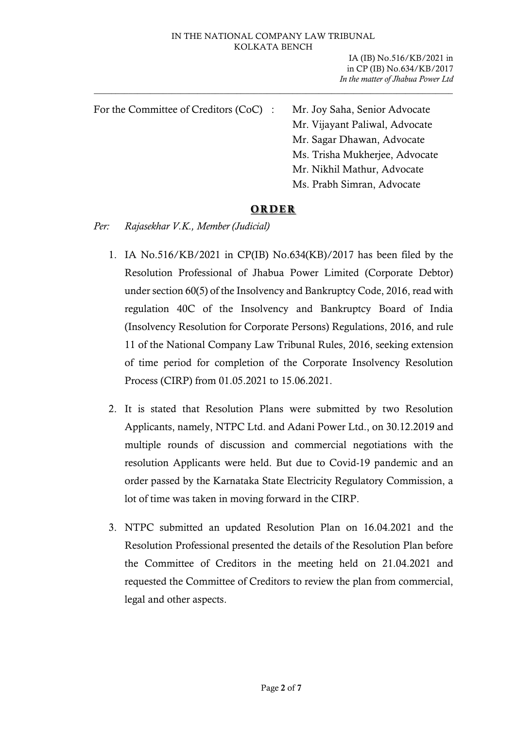IA (IB) No.516/KB/2021 in in CP (IB) No.634/KB/2017 *In the matter of Jhabua Power Ltd*

| For the Committee of Creditors (CoC) : | Mr. Joy Saha, Senior Advocate<br>Mr. Vijayant Paliwal, Advocate |
|----------------------------------------|-----------------------------------------------------------------|
|                                        | Mr. Sagar Dhawan, Advocate                                      |
|                                        | Ms. Trisha Mukherjee, Advocate                                  |
|                                        | Mr. Nikhil Mathur, Advocate                                     |
|                                        | Ms. Prabh Simran, Advocate                                      |
|                                        |                                                                 |

# **ORDER**

*Per: Rajasekhar V.K., Member (Judicial)*

- 1. IA No.516/KB/2021 in CP(IB) No.634(KB)/2017 has been filed by the Resolution Professional of Jhabua Power Limited (Corporate Debtor) under section 60(5) of the Insolvency and Bankruptcy Code, 2016, read with regulation 40C of the Insolvency and Bankruptcy Board of India (Insolvency Resolution for Corporate Persons) Regulations, 2016, and rule 11 of the National Company Law Tribunal Rules, 2016, seeking extension of time period for completion of the Corporate Insolvency Resolution Process (CIRP) from 01.05.2021 to 15.06.2021.
- 2. It is stated that Resolution Plans were submitted by two Resolution Applicants, namely, NTPC Ltd. and Adani Power Ltd., on 30.12.2019 and multiple rounds of discussion and commercial negotiations with the resolution Applicants were held. But due to Covid-19 pandemic and an order passed by the Karnataka State Electricity Regulatory Commission, a lot of time was taken in moving forward in the CIRP.
- 3. NTPC submitted an updated Resolution Plan on 16.04.2021 and the Resolution Professional presented the details of the Resolution Plan before the Committee of Creditors in the meeting held on 21.04.2021 and requested the Committee of Creditors to review the plan from commercial, legal and other aspects.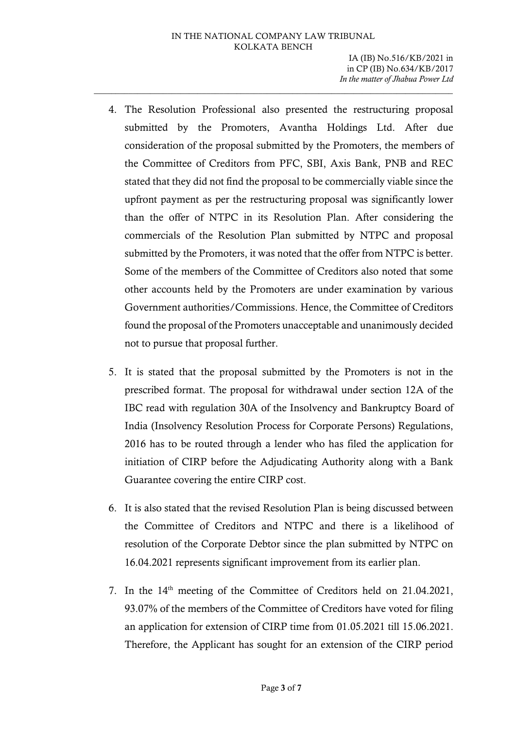- 4. The Resolution Professional also presented the restructuring proposal submitted by the Promoters, Avantha Holdings Ltd. After due consideration of the proposal submitted by the Promoters, the members of the Committee of Creditors from PFC, SBI, Axis Bank, PNB and REC stated that they did not find the proposal to be commercially viable since the upfront payment as per the restructuring proposal was significantly lower than the offer of NTPC in its Resolution Plan. After considering the commercials of the Resolution Plan submitted by NTPC and proposal submitted by the Promoters, it was noted that the offer from NTPC is better. Some of the members of the Committee of Creditors also noted that some other accounts held by the Promoters are under examination by various Government authorities/Commissions. Hence, the Committee of Creditors found the proposal of the Promoters unacceptable and unanimously decided not to pursue that proposal further.
- 5. It is stated that the proposal submitted by the Promoters is not in the prescribed format. The proposal for withdrawal under section 12A of the IBC read with regulation 30A of the Insolvency and Bankruptcy Board of India (Insolvency Resolution Process for Corporate Persons) Regulations, 2016 has to be routed through a lender who has filed the application for initiation of CIRP before the Adjudicating Authority along with a Bank Guarantee covering the entire CIRP cost.
- 6. It is also stated that the revised Resolution Plan is being discussed between the Committee of Creditors and NTPC and there is a likelihood of resolution of the Corporate Debtor since the plan submitted by NTPC on 16.04.2021 represents significant improvement from its earlier plan.
- 7. In the 14<sup>th</sup> meeting of the Committee of Creditors held on 21.04.2021, 93.07% of the members of the Committee of Creditors have voted for filing an application for extension of CIRP time from 01.05.2021 till 15.06.2021. Therefore, the Applicant has sought for an extension of the CIRP period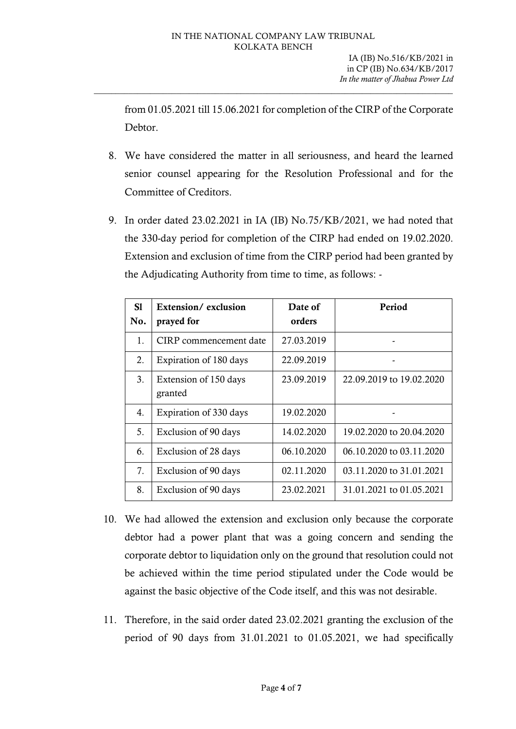from 01.05.2021 till 15.06.2021 for completion of the CIRP of the Corporate Debtor.

- 8. We have considered the matter in all seriousness, and heard the learned senior counsel appearing for the Resolution Professional and for the Committee of Creditors.
- 9. In order dated 23.02.2021 in IA (IB) No.75/KB/2021, we had noted that the 330-day period for completion of the CIRP had ended on 19.02.2020. Extension and exclusion of time from the CIRP period had been granted by the Adjudicating Authority from time to time, as follows: -

| S1<br>No. | Extension/exclusion<br>prayed for | Date of<br>orders | Period                   |
|-----------|-----------------------------------|-------------------|--------------------------|
| 1.        | CIRP commencement date            | 27.03.2019        |                          |
| 2.        | Expiration of 180 days            | 22.09.2019        |                          |
| 3.        | Extension of 150 days<br>granted  | 23.09.2019        | 22.09.2019 to 19.02.2020 |
| 4.        | Expiration of 330 days            | 19.02.2020        |                          |
| 5.        | Exclusion of 90 days              | 14.02.2020        | 19.02.2020 to 20.04.2020 |
| 6.        | Exclusion of 28 days              | 06.10.2020        | 06.10.2020 to 03.11.2020 |
| 7.        | Exclusion of 90 days              | 02.11.2020        | 03.11.2020 to 31.01.2021 |
| 8.        | Exclusion of 90 days              | 23.02.2021        | 31.01.2021 to 01.05.2021 |

- 10. We had allowed the extension and exclusion only because the corporate debtor had a power plant that was a going concern and sending the corporate debtor to liquidation only on the ground that resolution could not be achieved within the time period stipulated under the Code would be against the basic objective of the Code itself, and this was not desirable.
- 11. Therefore, in the said order dated 23.02.2021 granting the exclusion of the period of 90 days from 31.01.2021 to 01.05.2021, we had specifically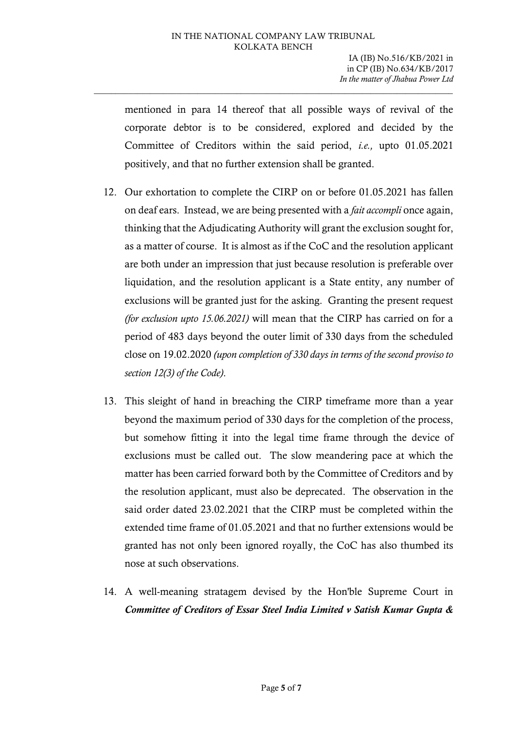mentioned in para 14 thereof that all possible ways of revival of the corporate debtor is to be considered, explored and decided by the Committee of Creditors within the said period, *i.e.,* upto 01.05.2021 positively, and that no further extension shall be granted.

- 12. Our exhortation to complete the CIRP on or before 01.05.2021 has fallen on deaf ears. Instead, we are being presented with a *fait accompli* once again, thinking that the Adjudicating Authority will grant the exclusion sought for, as a matter of course. It is almost as if the CoC and the resolution applicant are both under an impression that just because resolution is preferable over liquidation, and the resolution applicant is a State entity, any number of exclusions will be granted just for the asking. Granting the present request *(for exclusion upto 15.06.2021)* will mean that the CIRP has carried on for a period of 483 days beyond the outer limit of 330 days from the scheduled close on 19.02.2020 *(upon completion of 330 days in terms of the second proviso to section 12(3) of the Code)*.
- 13. This sleight of hand in breaching the CIRP timeframe more than a year beyond the maximum period of 330 days for the completion of the process, but somehow fitting it into the legal time frame through the device of exclusions must be called out. The slow meandering pace at which the matter has been carried forward both by the Committee of Creditors and by the resolution applicant, must also be deprecated. The observation in the said order dated 23.02.2021 that the CIRP must be completed within the extended time frame of 01.05.2021 and that no further extensions would be granted has not only been ignored royally, the CoC has also thumbed its nose at such observations.
- 14. A well-meaning stratagem devised by the Hon'ble Supreme Court in *Committee of Creditors of Essar Steel India Limited v Satish Kumar Gupta &*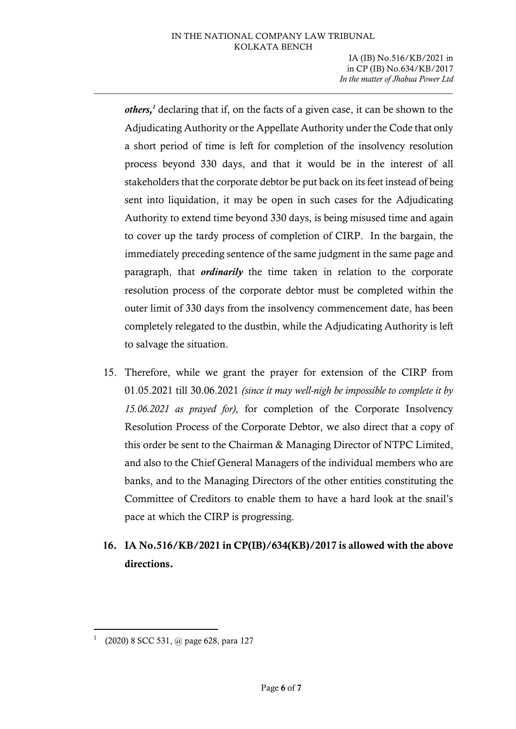*others,<sup>1</sup>* declaring that if, on the facts of a given case, it can be shown to the Adjudicating Authority or the Appellate Authority under the Code that only a short period of time is left for completion of the insolvency resolution process beyond 330 days, and that it would be in the interest of all stakeholders that the corporate debtor be put back on its feet instead of being sent into liquidation, it may be open in such cases for the Adjudicating Authority to extend time beyond 330 days, is being misused time and again to cover up the tardy process of completion of CIRP. In the bargain, the immediately preceding sentence of the same judgment in the same page and paragraph, that *ordinarily* the time taken in relation to the corporate resolution process of the corporate debtor must be completed within the outer limit of 330 days from the insolvency commencement date, has been completely relegated to the dustbin, while the Adjudicating Authority is left to salvage the situation.

15. Therefore, while we grant the prayer for extension of the CIRP from 01.05.2021 till 30.06.2021 *(since it may well-nigh be impossible to complete it by 15.06.2021 as prayed for)*, for completion of the Corporate Insolvency Resolution Process of the Corporate Debtor, we also direct that a copy of this order be sent to the Chairman & Managing Director of NTPC Limited, and also to the Chief General Managers of the individual members who are banks, and to the Managing Directors of the other entities constituting the Committee of Creditors to enable them to have a hard look at the snail's pace at which the CIRP is progressing.

# 16. IA No.516/KB/2021 in CP(IB)/634(KB)/2017 is allowed with the above directions.

<sup>1</sup> (2020) 8 SCC 531, @ page 628, para 127